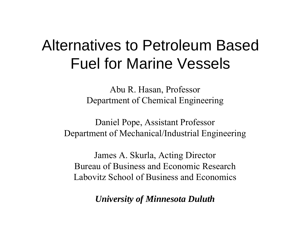# Alternatives to Petroleum Based Fuel for Marine Vessels

Abu R. Hasan, Professor Department of Chemical Engineering

Daniel Pope, Assistant Professor Department of Mechanical/Industrial Engineering

James A. Skurla, Acting Director Bureau of Business and Economic ResearchLabovitz School of Business and Economics

*University of Minnesota Duluth*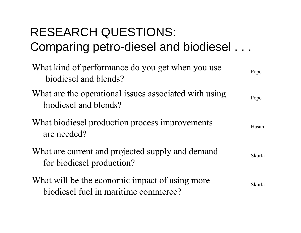## RESEARCH QUESTIONS: Comparing petro-diesel and biodiesel . . .

| What kind of performance do you get when you use<br>biodiesel and blends?              | Pope          |
|----------------------------------------------------------------------------------------|---------------|
| What are the operational issues associated with using<br>biodiesel and blends?         | Pope          |
| What biodiesel production process improvements<br>are needed?                          | Hasan         |
| What are current and projected supply and demand<br>for biodiesel production?          | <b>Skurla</b> |
| What will be the economic impact of using more<br>biodiesel fuel in maritime commerce? | <b>Skurla</b> |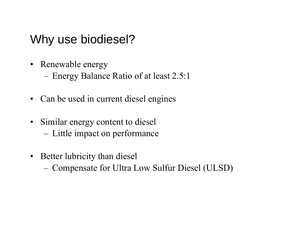#### Why use biodiesel?

- Renewable energy
	- –Energy Balance Ratio of at least 2.5:1
- $\bullet$ Can be used in current diesel engines
- Similar energy content to diesel
	- Little impact on performance
- Better lubricity than diesel
	- –Compensate for Ultra Low Sulfur Diesel (ULSD)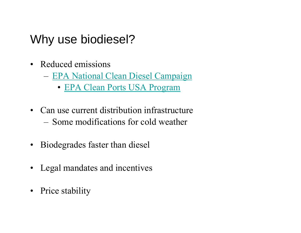#### Why use biodiesel?

- Reduced emissions
	- – EPA National Clean Diesel Campaign
		- EPA Clean Ports USA Program
- Can use current distribution infrastructure – Some modifications for cold weather
- Biodegrades faster than diesel
- $\bullet$ Legal mandates and incentives
- Price stability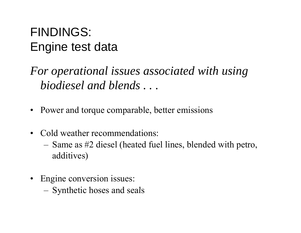### FINDINGS: Engine test data

*For operational issues associated with using operational biodiesel and blends . . .*

- Power and torque comparable, better emissions
- Cold weather recommendations:
	- – Same as #2 diesel (heated fuel lines, blended with petro, additives)
- Engine conversion issues:
	- –Synthetic hoses and seals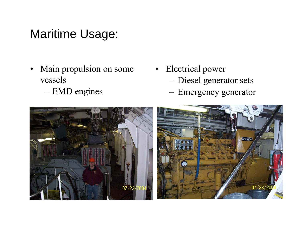#### Maritime Usage:

- •Main propulsion on some • Electrical power vessels
	- EMD engines
- - –Diesel generator sets
	- –Emergency generator

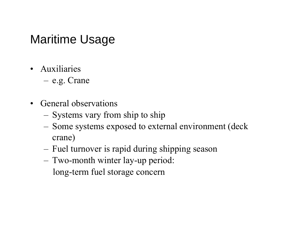#### Maritime Usage

- Auxiliaries
	- –e.g. Crane
- General observations
	- –Systems vary from ship to ship
	- –- Some systems exposed to external environment (deck crane)
	- –Fuel turnover is rapid during shipping season
	- –- Two-month winter lay-up period: long-term fuel storage concern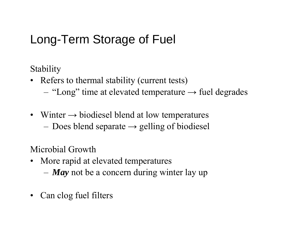### Long-Term Storage of Fuel

Stability

- Refers to thermal stability (current tests)
	- –"Long" time at elevated temperature  $\rightarrow$  fuel degrades
- Winter  $\rightarrow$  biodiesel blend at low temperatures
	- – $-$  Does blend separate  $\rightarrow$  gelling of biodiesel

Microbial Growth

- More rapid at elevated temperatures
	- –*May* not be a concern during winter lay up
- $\bullet$ Can clog fuel filters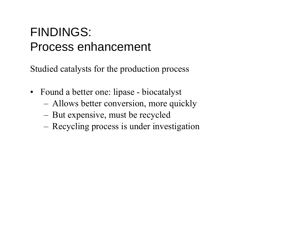#### FINDINGS: Process enhancement

Studied catalysts for the production process

- Found a better one: lipase biocatalyst
	- –- Allows better conversion, more quickly
	- –But expensive, must be recycled
	- –- Recycling process is under investigation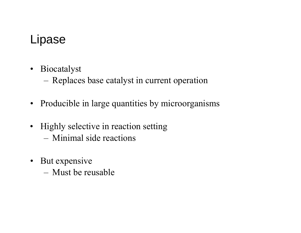#### Lipase

• Biocatalyst

–Replaces base catalyst in current operation

- Producible in large quantities by microorganisms
- Highly selective in reaction setting
	- Minimal side reactions
- But expensive
	- Must be reusable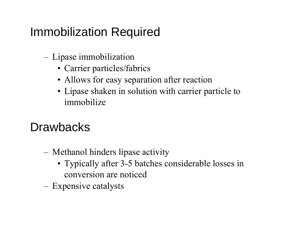### **Immobilization Required**

- Lipase immobilization
	- Carrier particles/fabrics
	- Allows for easy separation after reaction
	- Lipase shaken in solution with carrier particle to immobilize

### **Drawbacks**

- Methanol hinders lipase activity
	- Typically after 3-5 batches considerable losses in conversion are noticed
- Expensive catalysts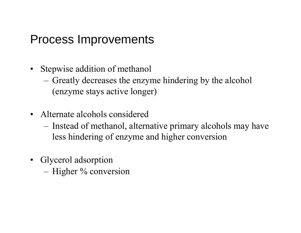#### Process Improvements

- Ste pwise addition of methanol
	- – Greatly decreases the enzyme hindering by the alcohol (enzyme stays active longer)
- Alternate alcohols considered
	- – Instead of methanol, alternative primary alcohols may have less hindering of enzyme and higher conversion
- Glycerol adsorption
	- –Higher % conversion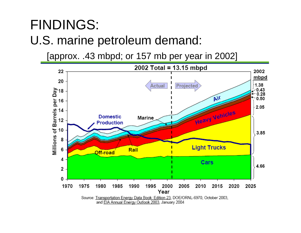## FINDINGS: U.S. marine petroleum demand:

[approx. .43 mbpd; or 157 mb per year in 2002]

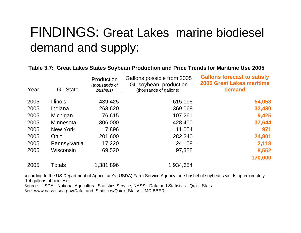## FINDINGS: Great Lakes marine biodiesel demand and supply:

#### **Table 3.7: Great Lakes States Soybean Production and Price Trends for Maritime Use 2005**

| Year | <b>GL State</b> | Production<br>(thousands of<br>bushels) | Gallons possible from 2005<br>GL soybean production<br>(thousands of gallons)* | <b>Gallons forecast to satisfy</b><br><b>2005 Great Lakes maritime</b><br>demand |
|------|-----------------|-----------------------------------------|--------------------------------------------------------------------------------|----------------------------------------------------------------------------------|
|      |                 |                                         |                                                                                |                                                                                  |
| 2005 | <b>Illinois</b> | 439,425                                 | 615,195                                                                        | 54,058                                                                           |
| 2005 | Indiana         | 263,620                                 | 369,068                                                                        | 32,430                                                                           |
| 2005 | Michigan        | 76,615                                  | 107,261                                                                        | 9,425                                                                            |
| 2005 | Minnesota       | 306,000                                 | 428,400                                                                        | 37,644                                                                           |
| 2005 | New York        | 7,896                                   | 11,054                                                                         | 971                                                                              |
| 2005 | Ohio            | 201,600                                 | 282,240                                                                        | 24,801                                                                           |
| 2005 | Pennsylvania    | 17,220                                  | 24,108                                                                         | 2,118                                                                            |
| 2005 | Wisconsin       | 69,520                                  | 97,328                                                                         | 8,552                                                                            |
|      |                 |                                         |                                                                                | 170,000                                                                          |
| 2005 | <b>Totals</b>   | 1,381,896                               | 1,934,654                                                                      |                                                                                  |

According to the US Department of Agriculture's (USDA) Farm Service Agency, one bushel of soybeans yields approximately 1.4 gallons of biodiesel.

Source: USDA - National Agricultural Statistics Service; NASS - Data and Statistics - Quick Stats. See: www.nass.usda.gov/Data and Statistics/Quick Stats/; UMD BBER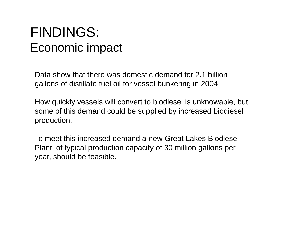## FINDINGS: Economic impact

Data show that there was domestic demand for 2.1 billion gallons of distillate fuel oil for vessel bunkering in 2004.

How quickly vessels will convert to biodiesel is unknowable, but some of this demand could be supplied by increased biodiesel production.

To meet this increased demand a new Great Lakes Biodiesel Plant, of typical production capacity of 30 million gallons per year, should be feasible.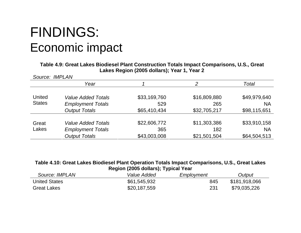## FINDINGS: Economic impact

**Table 4.9: Great Lakes Biodiesel Plant Construction Totals Impact Comparisons, U.S., Great Lakes Region ( ); , 2005 dollars); Year 1, Year 2**

| Source: IMPLAN |                                                       |                     |                     |                           |  |
|----------------|-------------------------------------------------------|---------------------|---------------------|---------------------------|--|
|                | Year                                                  |                     | っ                   | Total                     |  |
| <b>United</b>  | <b>Value Added Totals</b>                             | \$33,169,760        | \$16,809,880        | \$49,979,640              |  |
| <b>States</b>  | <b>Employment Totals</b>                              | 529                 | 265                 | <b>NA</b>                 |  |
|                | <b>Output Totals</b>                                  | \$65,410,434        | \$32,705,217        | \$98,115,651              |  |
| Great<br>Lakes | <b>Value Added Totals</b><br><b>Employment Totals</b> | \$22,606,772<br>365 | \$11,303,386<br>182 | \$33,910,158<br><b>NA</b> |  |
|                | <b>Output Totals</b>                                  | \$43,003,008        | \$21,501,504        | \$64,504,513              |  |

| Table 4.10: Great Lakes Biodiesel Plant Operation Totals Impact Comparisons, U.S., Great Lakes |
|------------------------------------------------------------------------------------------------|
| Region (2005 dollars); Typical Year                                                            |

| Source: IMPLAN       | Value Added  | Employment | Output        |
|----------------------|--------------|------------|---------------|
| <b>United States</b> | \$61,545,932 | 845        | \$181,918,066 |
| Great Lakes          | \$20,187,559 | 231        | \$79,035,226  |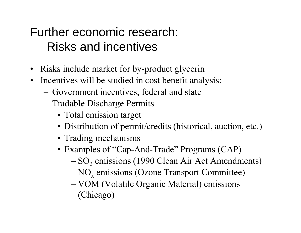### Further economic research: Risks and incentives

- Risks include market for by-product glycerin
- Incentives will be studied in cost benefit analysis:
	- –Government incentives, federal and state
	- Tradable Discharge Permits
		- Total emission target
		- Distribution of permit/credits (historical, auction, etc.)
		- Trading mechanisms
		- Examples of "Cap-And-Trade" Programs (CAP)
			- $-$  SO<sub>2</sub> emissions (1990 Clean Air Act Amendments)
			- $-$  NO<sub>x</sub> emissions (Ozone Transport Committee)
			- – VOM (Volatile Organic Material) emissions (Chicago)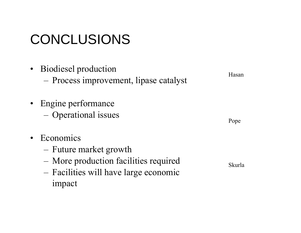# CONCLUSIONS

- Biodiesel production - Process improvement, lipase catalyst
- Engine performance - Operational issues
- Economics  $\bullet$ 
	- Future market growth
	- More production facilities required
	- Facilities will have large economic impact

Hasan

Pope

Skurla